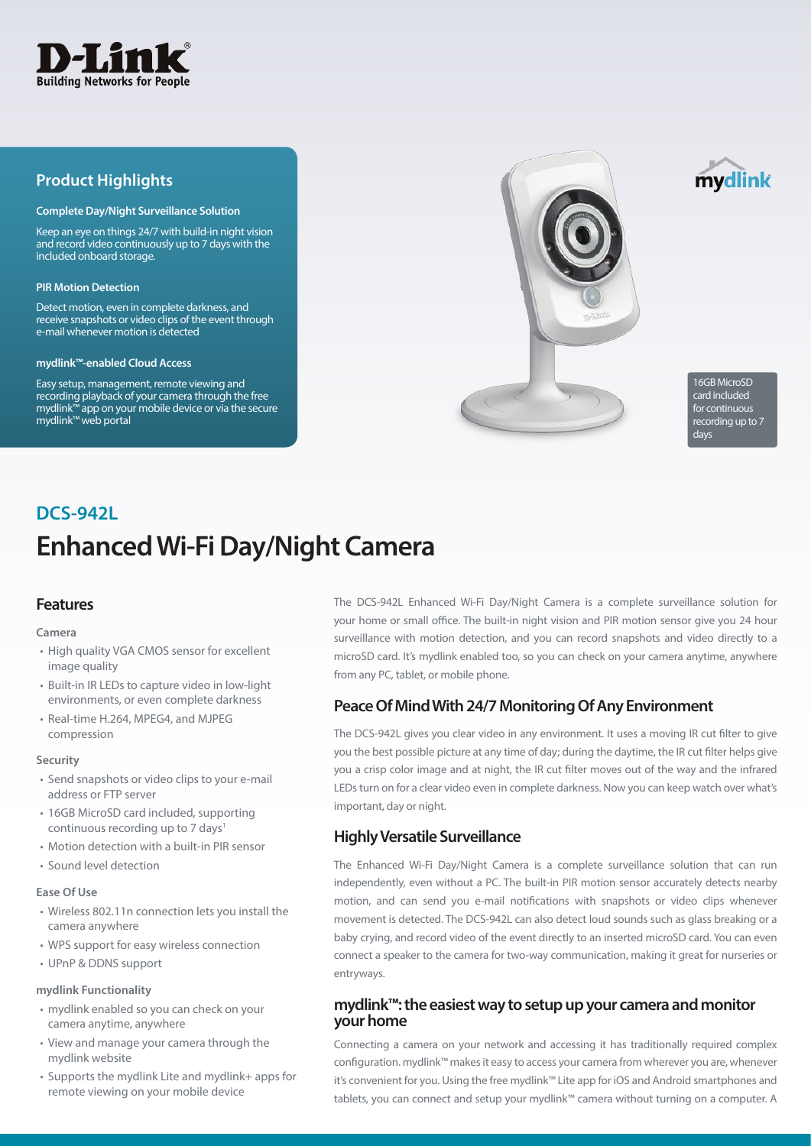

### **Product Highlights**

#### **Complete Day/Night Surveillance Solution**

Keep an eye on things 24/7 with build-in night vision and record video continuously up to 7 days with the included onboard storage.

#### **PIR Motion Detection**

Detect motion, even in complete darkness, and receive snapshots or video clips of the event through e-mail whenever motion is detected

#### **mydlink™-enabled Cloud Access**

Easy setup, management, remote viewing and recording playback of your camera through the free mydlink™ app on your mobile device or via the secure mydlink™ web portal



16GB MicroSD card included for continuous recording up to 7 days

mydlink

# **Enhanced Wi-Fi Day/Night Camera DCS-942L**

### **Features**

#### **Camera**

- High quality VGA CMOS sensor for excellent image quality
- Built-in IR LEDs to capture video in low-light environments, or even complete darkness
- Real-time H.264, MPEG4, and MJPEG compression

#### **Security**

- Send snapshots or video clips to your e-mail address or FTP server
- 16GB MicroSD card included, supporting continuous recording up to 7 days<sup>1</sup>
- Motion detection with a built-in PIR sensor
- Sound level detection

#### **Ease Of Use**

- Wireless 802.11n connection lets you install the camera anywhere
- WPS support for easy wireless connection
- UPnP & DDNS support

#### **mydlink Functionality**

- mydlink enabled so you can check on your camera anytime, anywhere
- View and manage your camera through the mydlink website
- Supports the mydlink Lite and mydlink+ apps for remote viewing on your mobile device

The DCS-942L Enhanced Wi-Fi Day/Night Camera is a complete surveillance solution for your home or small office. The built-in night vision and PIR motion sensor give you 24 hour surveillance with motion detection, and you can record snapshots and video directly to a microSD card. It's mydlink enabled too, so you can check on your camera anytime, anywhere from any PC, tablet, or mobile phone.

### **Peace Of Mind With 24/7 Monitoring Of Any Environment**

The DCS-942L gives you clear video in any environment. It uses a moving IR cut filter to give you the best possible picture at any time of day; during the daytime, the IR cut filter helps give you a crisp color image and at night, the IR cut filter moves out of the way and the infrared LEDs turn on for a clear video even in complete darkness. Now you can keep watch over what's important, day or night.

### **Highly Versatile Surveillance**

The Enhanced Wi-Fi Day/Night Camera is a complete surveillance solution that can run independently, even without a PC. The built-in PIR motion sensor accurately detects nearby motion, and can send you e-mail notifications with snapshots or video clips whenever movement is detected. The DCS-942L can also detect loud sounds such as glass breaking or a baby crying, and record video of the event directly to an inserted microSD card. You can even connect a speaker to the camera for two-way communication, making it great for nurseries or entryways.

### **mydlink™: the easiest way to setup up your camera and monitor your home**

Connecting a camera on your network and accessing it has traditionally required complex configuration. mydlink™ makes it easy to access your camera from wherever you are, whenever it's convenient for you. Using the free mydlink™ Lite app for iOS and Android smartphones and tablets, you can connect and setup your mydlink™ camera without turning on a computer. A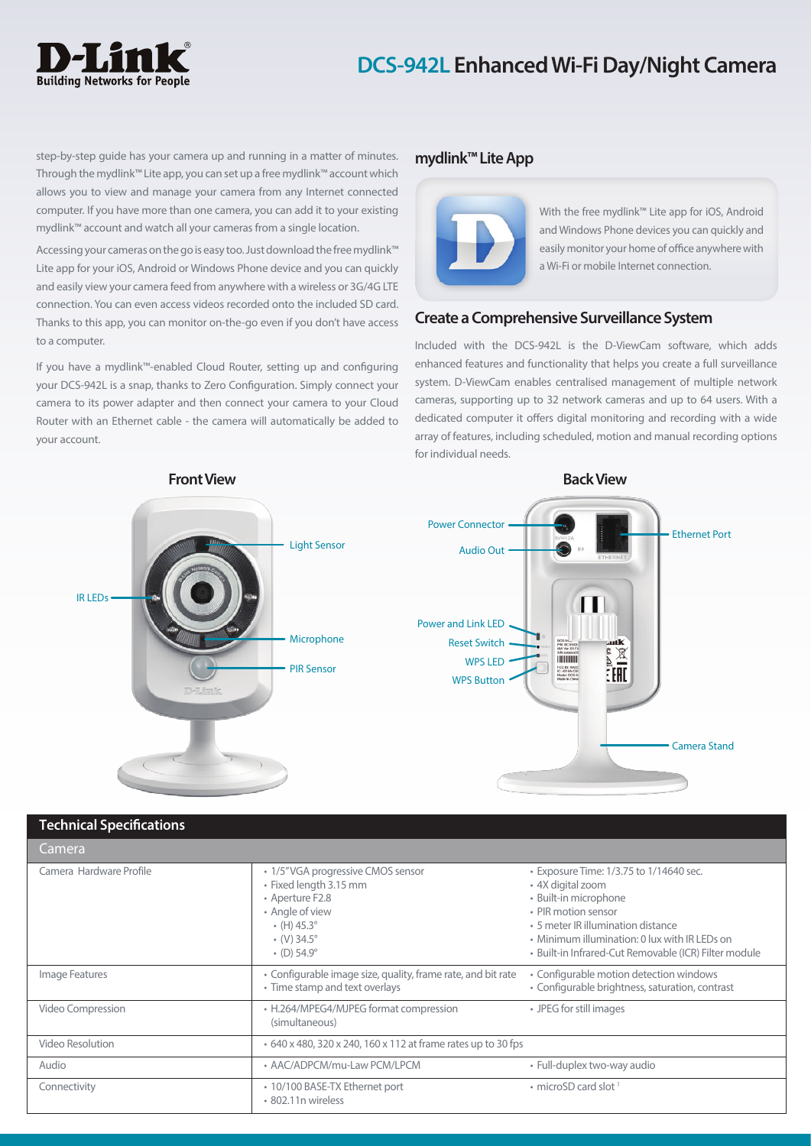## **DCS-942L Enhanced Wi-Fi Day/Night Camera**



step-by-step guide has your camera up and running in a matter of minutes. Through the mydlink™ Lite app, you can set up a free mydlink™ account which allows you to view and manage your camera from any Internet connected computer. If you have more than one camera, you can add it to your existing mydlink™ account and watch all your cameras from a single location.

Accessing your cameras on the go is easy too. Just download the free mydlink™ Lite app for your iOS, Android or Windows Phone device and you can quickly and easily view your camera feed from anywhere with a wireless or 3G/4G LTE connection. You can even access videos recorded onto the included SD card. Thanks to this app, you can monitor on-the-go even if you don't have access to a computer.

If you have a mydlink™-enabled Cloud Router, setting up and configuring your DCS-942L is a snap, thanks to Zero Configuration. Simply connect your camera to its power adapter and then connect your camera to your Cloud Router with an Ethernet cable - the camera will automatically be added to your account.

### **mydlink™ Lite App**



With the free mydlink™ Lite app for iOS, Android and Windows Phone devices you can quickly and easily monitor your home of office anywhere with a Wi-Fi or mobile Internet connection.

### **Create a Comprehensive Surveillance System**

Included with the DCS-942L is the D-ViewCam software, which adds enhanced features and functionality that helps you create a full surveillance system. D-ViewCam enables centralised management of multiple network cameras, supporting up to 32 network cameras and up to 64 users. With a dedicated computer it offers digital monitoring and recording with a wide array of features, including scheduled, motion and manual recording options for individual needs.



### **Technical Specifications**

| Camera                  |                                                                                                                                                                             |                                                                                                                                                                                                                                                              |
|-------------------------|-----------------------------------------------------------------------------------------------------------------------------------------------------------------------------|--------------------------------------------------------------------------------------------------------------------------------------------------------------------------------------------------------------------------------------------------------------|
| Camera Hardware Profile | • 1/5"VGA progressive CMOS sensor<br>· Fixed length 3.15 mm<br>• Aperture F2.8<br>• Angle of view<br>$\bullet$ (H) 45.3°<br>$\cdot$ (V) 34.5 $^{\circ}$<br>$(D) 54.9^\circ$ | • Exposure Time: 1/3.75 to 1/14640 sec.<br>• 4X digital zoom<br>• Built-in microphone<br>• PIR motion sensor<br>• 5 meter IR illumination distance<br>• Minimum illumination: 0 lux with IR LEDs on<br>· Built-in Infrared-Cut Removable (ICR) Filter module |
| Image Features          | • Configurable image size, quality, frame rate, and bit rate<br>• Time stamp and text overlays                                                                              | • Configurable motion detection windows<br>• Configurable brightness, saturation, contrast                                                                                                                                                                   |
| Video Compression       | • H.264/MPEG4/MJPEG format compression<br>(simultaneous)                                                                                                                    | • JPEG for still images                                                                                                                                                                                                                                      |
| Video Resolution        | • 640 x 480, 320 x 240, 160 x 112 at frame rates up to 30 fps                                                                                                               |                                                                                                                                                                                                                                                              |
| Audio                   | • AAC/ADPCM/mu-Law PCM/LPCM                                                                                                                                                 | • Full-duplex two-way audio                                                                                                                                                                                                                                  |
| Connectivity            | • 10/100 BASE-TX Ethernet port<br>• 802.11n wireless                                                                                                                        | $\cdot$ microSD card slot $\frac{1}{2}$                                                                                                                                                                                                                      |